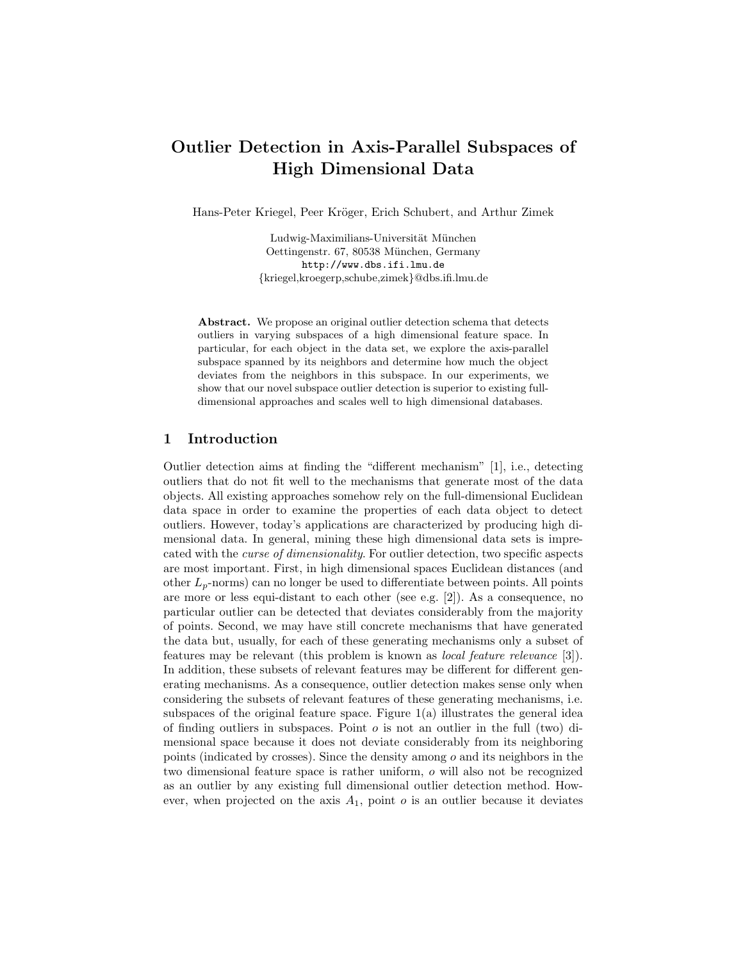# Outlier Detection in Axis-Parallel Subspaces of High Dimensional Data

Hans-Peter Kriegel, Peer Kröger, Erich Schubert, and Arthur Zimek

Ludwig-Maximilians-Universität München Oettingenstr. 67, 80538 München, Germany http://www.dbs.ifi.lmu.de {kriegel,kroegerp,schube,zimek}@dbs.ifi.lmu.de

Abstract. We propose an original outlier detection schema that detects outliers in varying subspaces of a high dimensional feature space. In particular, for each object in the data set, we explore the axis-parallel subspace spanned by its neighbors and determine how much the object deviates from the neighbors in this subspace. In our experiments, we show that our novel subspace outlier detection is superior to existing fulldimensional approaches and scales well to high dimensional databases.

## 1 Introduction

Outlier detection aims at finding the "different mechanism" [1], i.e., detecting outliers that do not fit well to the mechanisms that generate most of the data objects. All existing approaches somehow rely on the full-dimensional Euclidean data space in order to examine the properties of each data object to detect outliers. However, today's applications are characterized by producing high dimensional data. In general, mining these high dimensional data sets is imprecated with the curse of dimensionality. For outlier detection, two specific aspects are most important. First, in high dimensional spaces Euclidean distances (and other  $L_p$ -norms) can no longer be used to differentiate between points. All points are more or less equi-distant to each other (see e.g. [2]). As a consequence, no particular outlier can be detected that deviates considerably from the majority of points. Second, we may have still concrete mechanisms that have generated the data but, usually, for each of these generating mechanisms only a subset of features may be relevant (this problem is known as local feature relevance [3]). In addition, these subsets of relevant features may be different for different generating mechanisms. As a consequence, outlier detection makes sense only when considering the subsets of relevant features of these generating mechanisms, i.e. subspaces of the original feature space. Figure  $1(a)$  illustrates the general idea of finding outliers in subspaces. Point  $o$  is not an outlier in the full (two) dimensional space because it does not deviate considerably from its neighboring points (indicated by crosses). Since the density among  $o$  and its neighbors in the two dimensional feature space is rather uniform, o will also not be recognized as an outlier by any existing full dimensional outlier detection method. However, when projected on the axis  $A_1$ , point  $o$  is an outlier because it deviates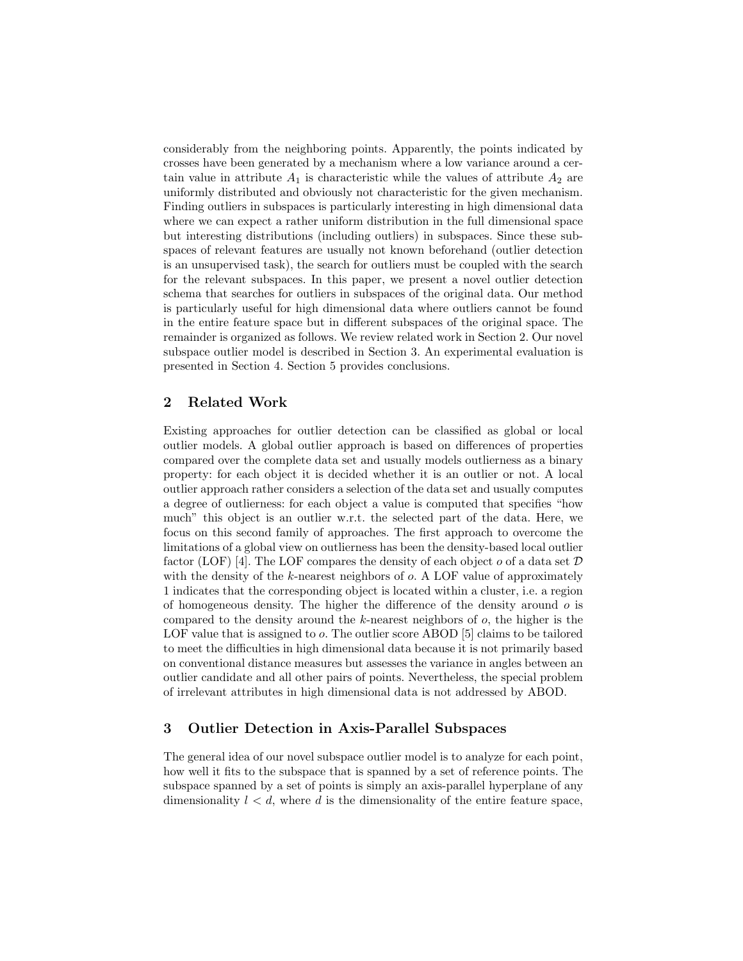considerably from the neighboring points. Apparently, the points indicated by crosses have been generated by a mechanism where a low variance around a certain value in attribute  $A_1$  is characteristic while the values of attribute  $A_2$  are uniformly distributed and obviously not characteristic for the given mechanism. Finding outliers in subspaces is particularly interesting in high dimensional data where we can expect a rather uniform distribution in the full dimensional space but interesting distributions (including outliers) in subspaces. Since these subspaces of relevant features are usually not known beforehand (outlier detection is an unsupervised task), the search for outliers must be coupled with the search for the relevant subspaces. In this paper, we present a novel outlier detection schema that searches for outliers in subspaces of the original data. Our method is particularly useful for high dimensional data where outliers cannot be found in the entire feature space but in different subspaces of the original space. The remainder is organized as follows. We review related work in Section 2. Our novel subspace outlier model is described in Section 3. An experimental evaluation is presented in Section 4. Section 5 provides conclusions.

## 2 Related Work

Existing approaches for outlier detection can be classified as global or local outlier models. A global outlier approach is based on differences of properties compared over the complete data set and usually models outlierness as a binary property: for each object it is decided whether it is an outlier or not. A local outlier approach rather considers a selection of the data set and usually computes a degree of outlierness: for each object a value is computed that specifies "how much" this object is an outlier w.r.t. the selected part of the data. Here, we focus on this second family of approaches. The first approach to overcome the limitations of a global view on outlierness has been the density-based local outlier factor (LOF) [4]. The LOF compares the density of each object  $o$  of a data set  $D$ with the density of the k-nearest neighbors of  $o$ . A LOF value of approximately 1 indicates that the corresponding object is located within a cluster, i.e. a region of homogeneous density. The higher the difference of the density around  $\rho$  is compared to the density around the  $k$ -nearest neighbors of  $o$ , the higher is the LOF value that is assigned to o. The outlier score ABOD [5] claims to be tailored to meet the difficulties in high dimensional data because it is not primarily based on conventional distance measures but assesses the variance in angles between an outlier candidate and all other pairs of points. Nevertheless, the special problem of irrelevant attributes in high dimensional data is not addressed by ABOD.

## 3 Outlier Detection in Axis-Parallel Subspaces

The general idea of our novel subspace outlier model is to analyze for each point, how well it fits to the subspace that is spanned by a set of reference points. The subspace spanned by a set of points is simply an axis-parallel hyperplane of any dimensionality  $l < d$ , where d is the dimensionality of the entire feature space,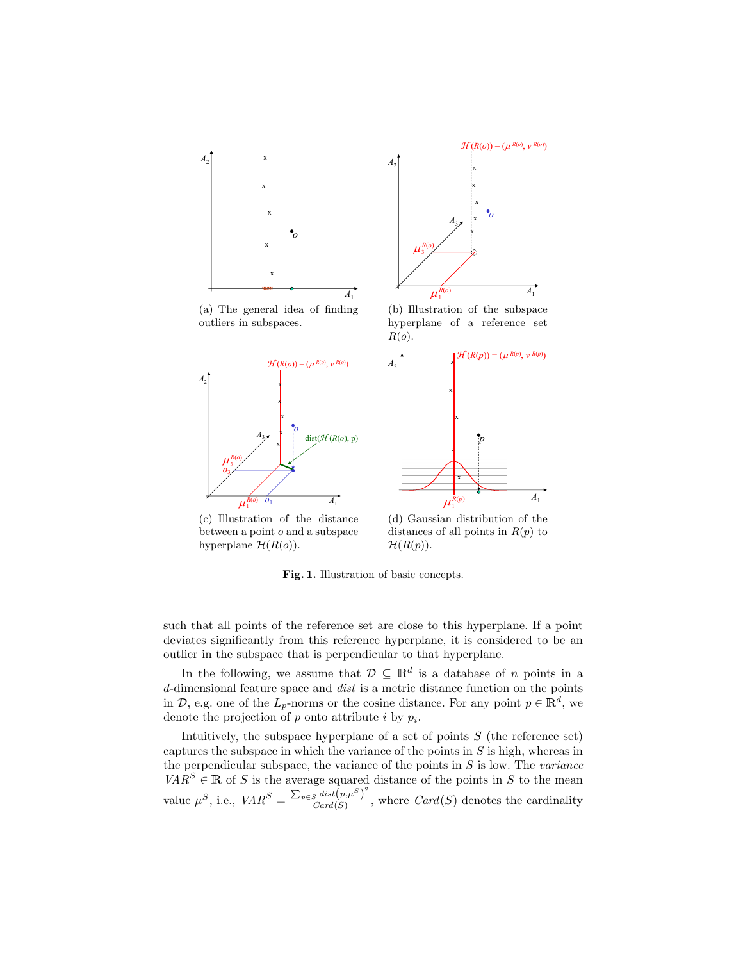

between a point o and a subspace hyperplane  $\mathcal{H}(R(o))$ .

distances of all points in  $R(p)$  to  $\mathcal{H}(R(p)).$ 

Fig. 1. Illustration of basic concepts.

such that all points of the reference set are close to this hyperplane. If a point deviates significantly from this reference hyperplane, it is considered to be an outlier in the subspace that is perpendicular to that hyperplane.

In the following, we assume that  $\mathcal{D} \subseteq \mathbb{R}^d$  is a database of n points in a d-dimensional feature space and dist is a metric distance function on the points in  $\mathcal{D}$ , e.g. one of the  $L_p$ -norms or the cosine distance. For any point  $p \in \mathbb{R}^d$ , we denote the projection of  $p$  onto attribute  $i$  by  $p_i$ .

Intuitively, the subspace hyperplane of a set of points  $S$  (the reference set) captures the subspace in which the variance of the points in  $S$  is high, whereas in the perpendicular subspace, the variance of the points in  $S$  is low. The *variance*  $VAR^{S} \in \mathbb{R}$  of S is the average squared distance of the points in S to the mean value  $\mu^S$ , i.e.,  $VAR^S = \frac{\sum_{p \in S} dist(p, \mu^S)^2}{Card(S)}$  $\frac{S^{ulsc}(P, \mu)}{Card(S)}$ , where  $Card(S)$  denotes the cardinality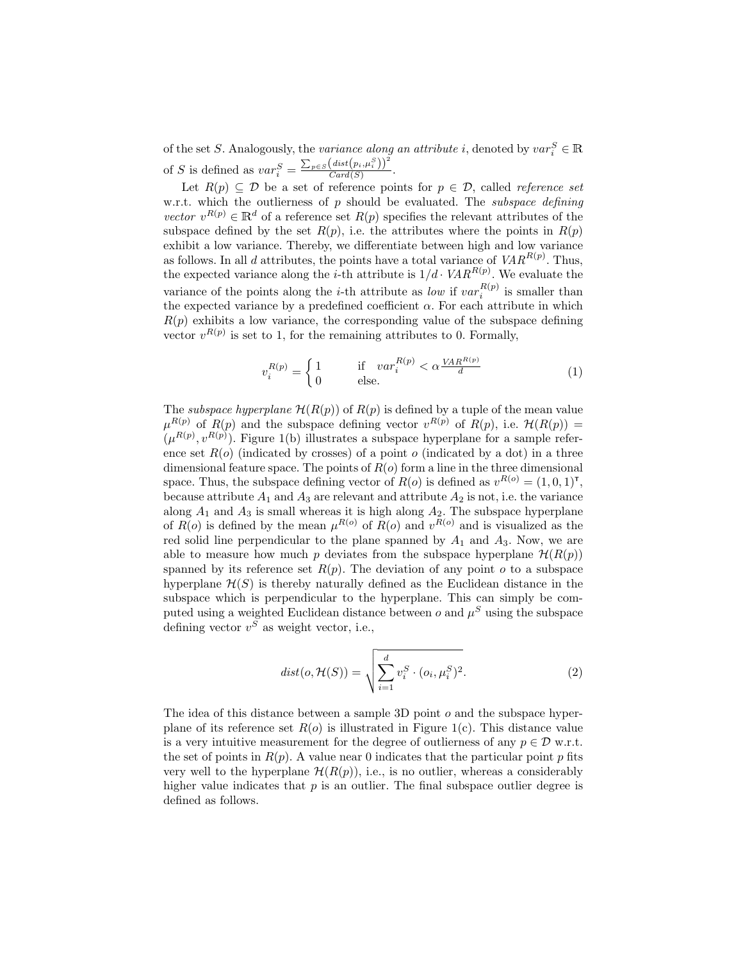of the set S. Analogously, the *variance along an attribute i*, denoted by  $var_i^S \in \mathbb{R}$ of S is defined as  $var_i^S = \frac{\sum_{p \in S} (dist(p_i, \mu_i^S))^2}{Card(S)}$  $Card(S)$ .

Let  $R(p) \subseteq \mathcal{D}$  be a set of reference points for  $p \in \mathcal{D}$ , called *reference set* w.r.t. which the outlierness of p should be evaluated. The *subspace defining* vector  $v^{R(p)} \in \mathbb{R}^d$  of a reference set  $R(p)$  specifies the relevant attributes of the subspace defined by the set  $R(p)$ , i.e. the attributes where the points in  $R(p)$ exhibit a low variance. Thereby, we differentiate between high and low variance as follows. In all d attributes, the points have a total variance of  $VAR^{R(p)}$ . Thus, the expected variance along the *i*-th attribute is  $1/d \cdot VAR^{R(p)}$ . We evaluate the variance of the points along the *i*-th attribute as *low* if  $var_i^{R(p)}$  is smaller than the expected variance by a predefined coefficient  $\alpha$ . For each attribute in which  $R(p)$  exhibits a low variance, the corresponding value of the subspace defining vector  $v^{R(p)}$  is set to 1, for the remaining attributes to 0. Formally,

$$
v_i^{R(p)} = \begin{cases} 1 & \text{if } var_i^{R(p)} < \alpha \frac{VAR^{R(p)}}{d} \\ 0 & \text{else.} \end{cases}
$$
 (1)

The *subspace hyperplane*  $\mathcal{H}(R(p))$  of  $R(p)$  is defined by a tuple of the mean value  $\mu^{R(p)}$  of  $R(p)$  and the subspace defining vector  $v^{R(p)}$  of  $R(p)$ , i.e.  $\mathcal{H}(R(p)) =$  $(\mu^{R(p)}, v^{R(p)})$ . Figure 1(b) illustrates a subspace hyperplane for a sample reference set  $R(o)$  (indicated by crosses) of a point  $o$  (indicated by a dot) in a three dimensional feature space. The points of  $R(o)$  form a line in the three dimensional space. Thus, the subspace defining vector of  $R(o)$  is defined as  $v^{R(o)} = (1, 0, 1)^{\mathsf{T}}$ , because attribute  $A_1$  and  $A_3$  are relevant and attribute  $A_2$  is not, i.e. the variance along  $A_1$  and  $A_3$  is small whereas it is high along  $A_2$ . The subspace hyperplane of  $R(o)$  is defined by the mean  $\mu^{R(o)}$  of  $R(o)$  and  $v^{R(o)}$  and is visualized as the red solid line perpendicular to the plane spanned by  $A_1$  and  $A_3$ . Now, we are able to measure how much p deviates from the subspace hyperplane  $\mathcal{H}(R(p))$ spanned by its reference set  $R(p)$ . The deviation of any point o to a subspace hyperplane  $\mathcal{H}(S)$  is thereby naturally defined as the Euclidean distance in the subspace which is perpendicular to the hyperplane. This can simply be computed using a weighted Euclidean distance between  $o$  and  $\mu^S$  using the subspace defining vector  $v^S$  as weight vector, i.e.,

$$
dist(o, \mathcal{H}(S)) = \sqrt{\sum_{i=1}^{d} v_i^S \cdot (o_i, \mu_i^S)^2}.
$$
 (2)

The idea of this distance between a sample 3D point o and the subspace hyperplane of its reference set  $R(o)$  is illustrated in Figure 1(c). This distance value is a very intuitive measurement for the degree of outlierness of any  $p \in \mathcal{D}$  w.r.t. the set of points in  $R(p)$ . A value near 0 indicates that the particular point p fits very well to the hyperplane  $\mathcal{H}(R(p))$ , i.e., is no outlier, whereas a considerably higher value indicates that  $p$  is an outlier. The final subspace outlier degree is defined as follows.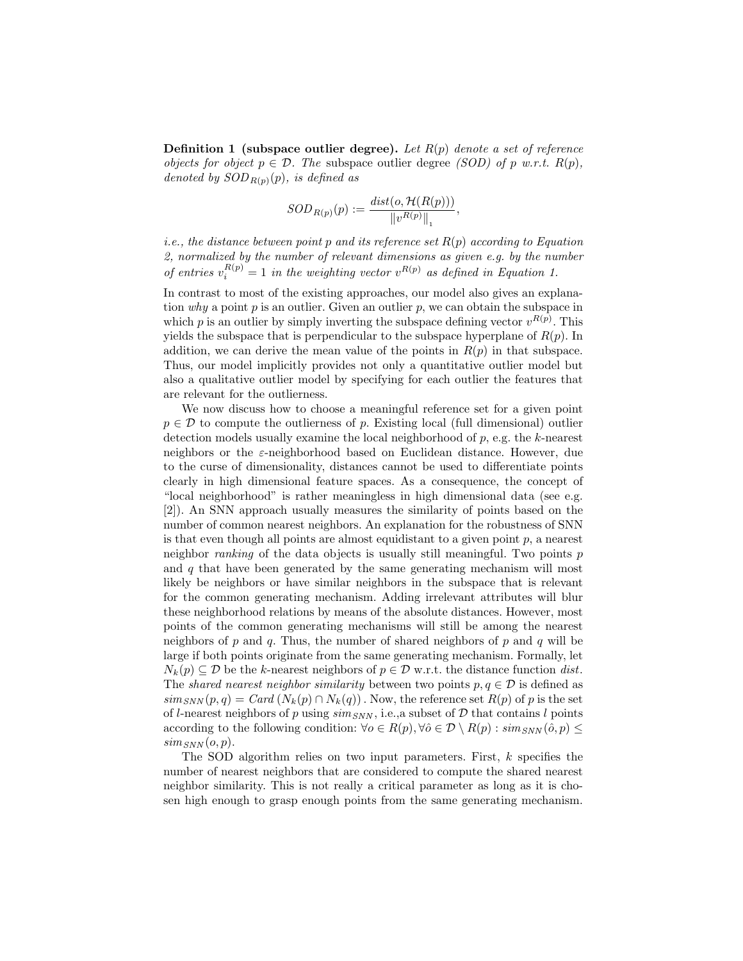**Definition 1** (subspace outlier degree). Let  $R(p)$  denote a set of reference objects for object  $p \in \mathcal{D}$ . The subspace outlier degree *(SOD)* of p w.r.t.  $R(p)$ , denoted by  $SOD_{R(p)}(p)$ , is defined as

$$
SOD_{R(p)}(p) := \frac{dist(o, \mathcal{H}(R(p)))}{\|v^{R(p)}\|_1},
$$

*i.e.*, the distance between point p and its reference set  $R(p)$  according to Equation 2, normalized by the number of relevant dimensions as given e.g. by the number of entries  $v_i^{R(p)} = 1$  in the weighting vector  $v^{R(p)}$  as defined in Equation 1.

In contrast to most of the existing approaches, our model also gives an explanation why a point  $p$  is an outlier. Given an outlier  $p$ , we can obtain the subspace in which p is an outlier by simply inverting the subspace defining vector  $v^{R(p)}$ . This yields the subspace that is perpendicular to the subspace hyperplane of  $R(p)$ . In addition, we can derive the mean value of the points in  $R(p)$  in that subspace. Thus, our model implicitly provides not only a quantitative outlier model but also a qualitative outlier model by specifying for each outlier the features that are relevant for the outlierness.

We now discuss how to choose a meaningful reference set for a given point  $p \in \mathcal{D}$  to compute the outlierness of p. Existing local (full dimensional) outlier detection models usually examine the local neighborhood of p, e.g. the k-nearest neighbors or the ε-neighborhood based on Euclidean distance. However, due to the curse of dimensionality, distances cannot be used to differentiate points clearly in high dimensional feature spaces. As a consequence, the concept of "local neighborhood" is rather meaningless in high dimensional data (see e.g. [2]). An SNN approach usually measures the similarity of points based on the number of common nearest neighbors. An explanation for the robustness of SNN is that even though all points are almost equidistant to a given point  $p$ , a nearest neighbor *ranking* of the data objects is usually still meaningful. Two points  $p$ and  $q$  that have been generated by the same generating mechanism will most likely be neighbors or have similar neighbors in the subspace that is relevant for the common generating mechanism. Adding irrelevant attributes will blur these neighborhood relations by means of the absolute distances. However, most points of the common generating mechanisms will still be among the nearest neighbors of p and q. Thus, the number of shared neighbors of p and q will be large if both points originate from the same generating mechanism. Formally, let  $N_k(p) \subseteq \mathcal{D}$  be the k-nearest neighbors of  $p \in \mathcal{D}$  w.r.t. the distance function dist. The shared nearest neighbor similarity between two points  $p, q \in \mathcal{D}$  is defined as  $\lim_{SNN}(p,q) = \text{Card}(N_k(p) \cap N_k(q))$ . Now, the reference set  $R(p)$  of p is the set of l-nearest neighbors of p using  $\text{sim}_{SNN}$ , i.e., a subset of D that contains l points according to the following condition:  $\forall o \in R(p), \forall \hat{o} \in \mathcal{D} \setminus R(p)$ :  $\text{sim}_{\text{SNN}}(\hat{o}, p) \leq$  $sim_{SNN}(o, p)$ .

The SOD algorithm relies on two input parameters. First, k specifies the number of nearest neighbors that are considered to compute the shared nearest neighbor similarity. This is not really a critical parameter as long as it is chosen high enough to grasp enough points from the same generating mechanism.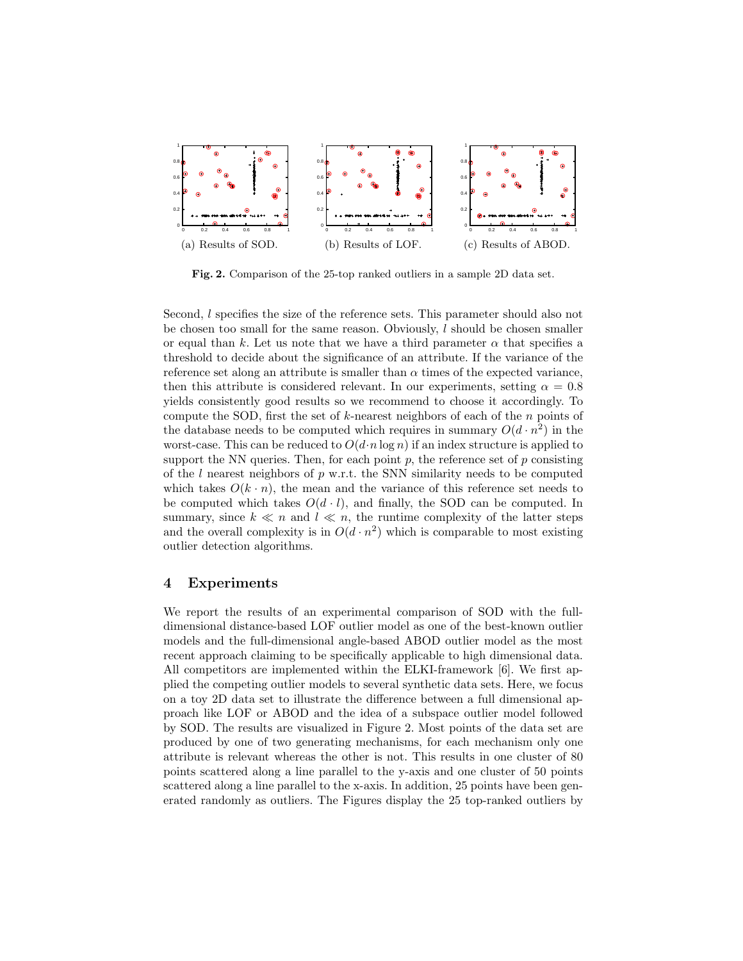

Fig. 2. Comparison of the 25-top ranked outliers in a sample 2D data set.

Second, l specifies the size of the reference sets. This parameter should also not be chosen too small for the same reason. Obviously, l should be chosen smaller or equal than k. Let us note that we have a third parameter  $\alpha$  that specifies a threshold to decide about the significance of an attribute. If the variance of the reference set along an attribute is smaller than  $\alpha$  times of the expected variance, then this attribute is considered relevant. In our experiments, setting  $\alpha = 0.8$ yields consistently good results so we recommend to choose it accordingly. To compute the SOD, first the set of k-nearest neighbors of each of the  $n$  points of the database needs to be computed which requires in summary  $O(d \cdot n^2)$  in the worst-case. This can be reduced to  $O(d \cdot n \log n)$  if an index structure is applied to support the NN queries. Then, for each point  $p$ , the reference set of  $p$  consisting of the l nearest neighbors of  $p$  w.r.t. the SNN similarity needs to be computed which takes  $O(k \cdot n)$ , the mean and the variance of this reference set needs to be computed which takes  $O(d \cdot l)$ , and finally, the SOD can be computed. In summary, since  $k \ll n$  and  $l \ll n$ , the runtime complexity of the latter steps and the overall complexity is in  $O(d \cdot n^2)$  which is comparable to most existing outlier detection algorithms.

## 4 Experiments

We report the results of an experimental comparison of SOD with the fulldimensional distance-based LOF outlier model as one of the best-known outlier models and the full-dimensional angle-based ABOD outlier model as the most recent approach claiming to be specifically applicable to high dimensional data. All competitors are implemented within the ELKI-framework [6]. We first applied the competing outlier models to several synthetic data sets. Here, we focus on a toy 2D data set to illustrate the difference between a full dimensional approach like LOF or ABOD and the idea of a subspace outlier model followed by SOD. The results are visualized in Figure 2. Most points of the data set are produced by one of two generating mechanisms, for each mechanism only one attribute is relevant whereas the other is not. This results in one cluster of 80 points scattered along a line parallel to the y-axis and one cluster of 50 points scattered along a line parallel to the x-axis. In addition, 25 points have been generated randomly as outliers. The Figures display the 25 top-ranked outliers by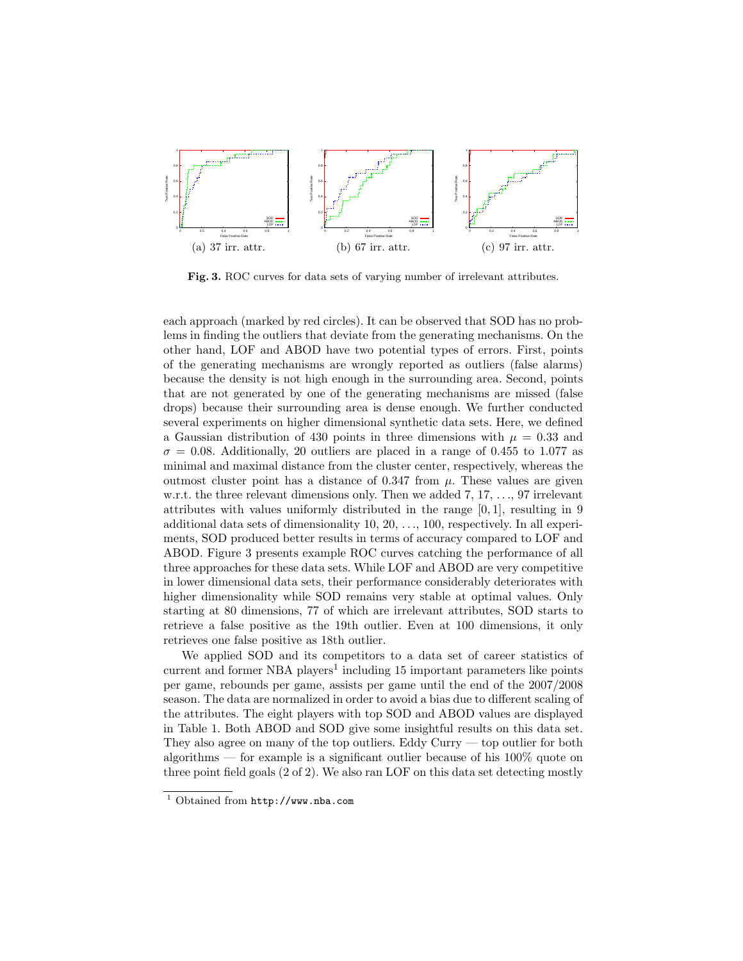

Fig. 3. ROC curves for data sets of varying number of irrelevant attributes.

each approach (marked by red circles). It can be observed that SOD has no problems in finding the outliers that deviate from the generating mechanisms. On the other hand, LOF and ABOD have two potential types of errors. First, points of the generating mechanisms are wrongly reported as outliers (false alarms) because the density is not high enough in the surrounding area. Second, points that are not generated by one of the generating mechanisms are missed (false drops) because their surrounding area is dense enough. We further conducted several experiments on higher dimensional synthetic data sets. Here, we defined a Gaussian distribution of 430 points in three dimensions with  $\mu = 0.33$  and  $\sigma = 0.08$ . Additionally, 20 outliers are placed in a range of 0.455 to 1.077 as minimal and maximal distance from the cluster center, respectively, whereas the outmost cluster point has a distance of 0.347 from  $\mu$ . These values are given w.r.t. the three relevant dimensions only. Then we added 7, 17, ..., 97 irrelevant attributes with values uniformly distributed in the range [0, 1], resulting in 9 additional data sets of dimensionality 10, 20, . . ., 100, respectively. In all experiments, SOD produced better results in terms of accuracy compared to LOF and ABOD. Figure 3 presents example ROC curves catching the performance of all three approaches for these data sets. While LOF and ABOD are very competitive in lower dimensional data sets, their performance considerably deteriorates with higher dimensionality while SOD remains very stable at optimal values. Only starting at 80 dimensions, 77 of which are irrelevant attributes, SOD starts to retrieve a false positive as the 19th outlier. Even at 100 dimensions, it only retrieves one false positive as 18th outlier.

We applied SOD and its competitors to a data set of career statistics of current and former NBA players<sup>1</sup> including 15 important parameters like points per game, rebounds per game, assists per game until the end of the 2007/2008 season. The data are normalized in order to avoid a bias due to different scaling of the attributes. The eight players with top SOD and ABOD values are displayed in Table 1. Both ABOD and SOD give some insightful results on this data set. They also agree on many of the top outliers. Eddy Curry — top outlier for both algorithms — for example is a significant outlier because of his 100% quote on three point field goals (2 of 2). We also ran LOF on this data set detecting mostly

<sup>1</sup> Obtained from http://www.nba.com